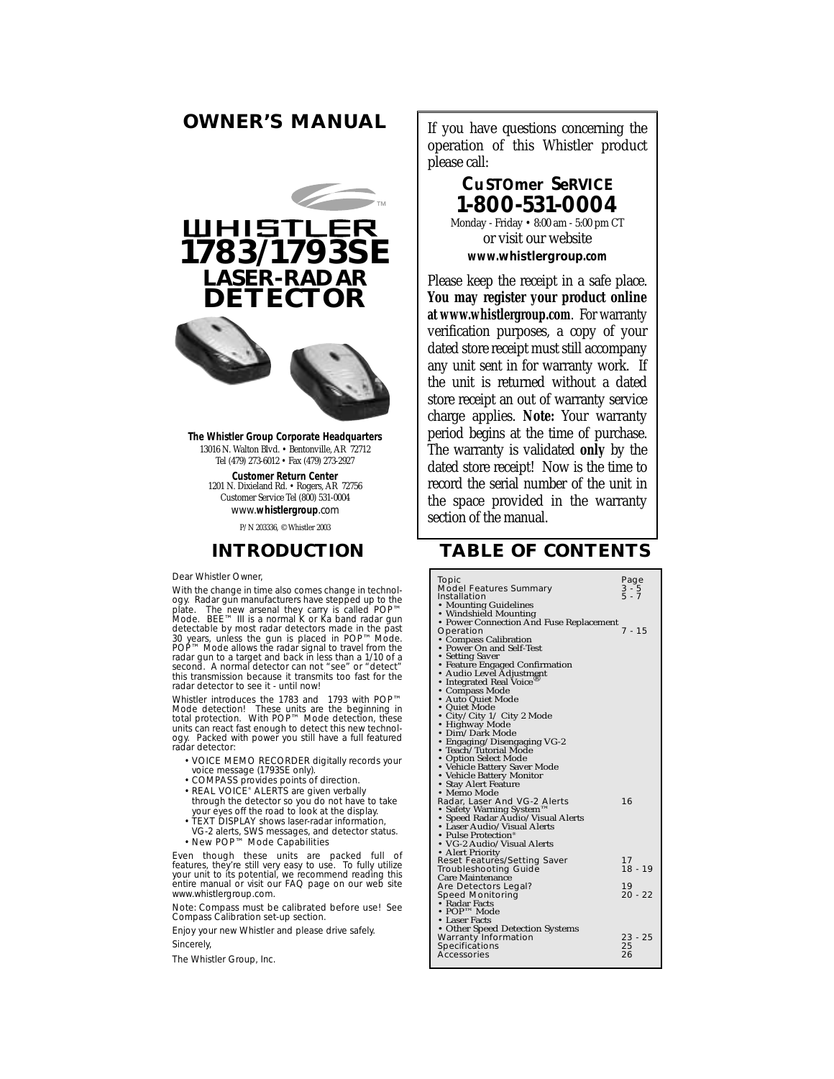# **OWNER'S MANUAL** If you have questions concerning the



**The Whistler Group Corporate Headquarters** 13016 N. Walton Blvd. • Bentonville, AR 72712 Tel (479) 273-6012 • Fax (479) 273-2927

> **Customer Return Center** 1201 N. Dixieland Rd. • Rogers, AR 72756 Customer Service Tel (800) 531-0004 www.**whistlergroup**.com

> > P/N 203336, © Whistler 2003

## **INTRODUCTION**

Dear Whistler Owner

With the change in time also comes change in technology. Radar gun manufacturers have stepp̃ed up to the<br>plate. The new arsenal they carry is called POP™<br>Mode. BEE™ III is a normal K or Ka band radar gun detectable by most radar detectors made in the past<br>30 years, unless the gun is placed in POP™ Mode.<br>POP™ Mode allows the radar signal to travel from the radar gun to a target and back in less than a 1/10 of a second. A normal detector can not "see" or "detect" this transmission because it transmits too fast for the radar detector to see it - until now!

Whistler introduces the 1783 and 1793 with POP™<br>Mode detection. With POP™ Mode detection, these<br>total protection. With POP™ Mode detection, these<br>units can react fast enough to detect this new technol-<br>ogy. Packed with po radar detector:

- VOICE MEMO RECORDER digitally records your voice message (1793SE only).
- COMPASS provides points of direction.
- REAL VOICE® ALERTS are given verbally through the detector so you do not have to take
- your eyes off the road to look at the display. • TEXT DISPLAY shows laser-radar information.
- VG-2 alerts, SWS messages, and detector status. • New POP™ Mode Capabilities

Even though these units are packed full of features, they're still very easy to use. To fully utilize your unit to its potential, we recommend reading this entire manual or visit our FAQ page on our web site www.whistlergroup.com.

Note: Compass must be calibrated before use! See Compass Calibration set-up section.

Enjoy your new Whistler and please drive safely. Sincerely,

The Whistler Group, Inc.

operation of this Whistler product please call:

# **CuSTOmer SeRVICE 1-800-531-0004**

Monday - Friday • 8:00 am - 5:00 pm CT or visit our website **www.whistlergroup.com**

Please keep the receipt in a safe place. **You may register your product online at www.whistlergroup.com**. For warranty verification purposes, a copy of your dated store receipt must still accompany any unit sent in for warranty work. If the unit is returned without a dated store receipt an out of warranty service charge applies. **Note:** Your warranty period begins at the time of purchase. The warranty is validated **only** by the dated store receipt! Now is the time to record the serial number of the unit in the space provided in the warranty section of the manual.

# **TABLE OF CONTENTS**

| Topic<br>Page<br><b>Model Features Summary</b><br>3 - 5<br>5 - 7<br>Installation<br>• Mounting Guidelines<br>• Windshield Mounting<br>• Power Connection And Fuse Replacement<br>7 - 15<br>Operation<br>• Compass Calibration<br>• Power On and Self-Test<br>• Setting Saver<br>• Feature Engaged Confirmation<br>• Audio Level Adjustment<br>• Integrated Real Voice<br>• Compass Mode<br>• Auto Quiet Mode<br>• Quiet Mode<br>• City/City 1/ City 2 Mode<br>• Highway Mode<br>• Dim/Dark Mode<br>• Engaging/Disengaging VG-2<br>• Teach/Tutorial Mode<br>• Option Select Mode<br>• Vehicle Battery Saver Mode<br>• Vehicle Battery Monitor<br>• Stay Alert Feature<br>• Memo Mode<br>16<br>Radar, Laser And VG-2 Alerts<br>• Safety Warning System™<br>• Speed Radar Audio/Visual Alerts<br>• Laser Audio/Visual Alerts<br>• Pulse Protection <sup>®</sup><br>• VG-2 Audio/Visual Alerts<br>• Alert Priority<br><b>Reset Features/Setting Saver</b><br>17<br>18 - 19<br><b>Troubleshooting Guide</b> |
|--------------------------------------------------------------------------------------------------------------------------------------------------------------------------------------------------------------------------------------------------------------------------------------------------------------------------------------------------------------------------------------------------------------------------------------------------------------------------------------------------------------------------------------------------------------------------------------------------------------------------------------------------------------------------------------------------------------------------------------------------------------------------------------------------------------------------------------------------------------------------------------------------------------------------------------------------------------------------------------------------------|
|                                                                                                                                                                                                                                                                                                                                                                                                                                                                                                                                                                                                                                                                                                                                                                                                                                                                                                                                                                                                        |
|                                                                                                                                                                                                                                                                                                                                                                                                                                                                                                                                                                                                                                                                                                                                                                                                                                                                                                                                                                                                        |
|                                                                                                                                                                                                                                                                                                                                                                                                                                                                                                                                                                                                                                                                                                                                                                                                                                                                                                                                                                                                        |
|                                                                                                                                                                                                                                                                                                                                                                                                                                                                                                                                                                                                                                                                                                                                                                                                                                                                                                                                                                                                        |
|                                                                                                                                                                                                                                                                                                                                                                                                                                                                                                                                                                                                                                                                                                                                                                                                                                                                                                                                                                                                        |
|                                                                                                                                                                                                                                                                                                                                                                                                                                                                                                                                                                                                                                                                                                                                                                                                                                                                                                                                                                                                        |
|                                                                                                                                                                                                                                                                                                                                                                                                                                                                                                                                                                                                                                                                                                                                                                                                                                                                                                                                                                                                        |
|                                                                                                                                                                                                                                                                                                                                                                                                                                                                                                                                                                                                                                                                                                                                                                                                                                                                                                                                                                                                        |
|                                                                                                                                                                                                                                                                                                                                                                                                                                                                                                                                                                                                                                                                                                                                                                                                                                                                                                                                                                                                        |
|                                                                                                                                                                                                                                                                                                                                                                                                                                                                                                                                                                                                                                                                                                                                                                                                                                                                                                                                                                                                        |
|                                                                                                                                                                                                                                                                                                                                                                                                                                                                                                                                                                                                                                                                                                                                                                                                                                                                                                                                                                                                        |
|                                                                                                                                                                                                                                                                                                                                                                                                                                                                                                                                                                                                                                                                                                                                                                                                                                                                                                                                                                                                        |
|                                                                                                                                                                                                                                                                                                                                                                                                                                                                                                                                                                                                                                                                                                                                                                                                                                                                                                                                                                                                        |
|                                                                                                                                                                                                                                                                                                                                                                                                                                                                                                                                                                                                                                                                                                                                                                                                                                                                                                                                                                                                        |
|                                                                                                                                                                                                                                                                                                                                                                                                                                                                                                                                                                                                                                                                                                                                                                                                                                                                                                                                                                                                        |
|                                                                                                                                                                                                                                                                                                                                                                                                                                                                                                                                                                                                                                                                                                                                                                                                                                                                                                                                                                                                        |
|                                                                                                                                                                                                                                                                                                                                                                                                                                                                                                                                                                                                                                                                                                                                                                                                                                                                                                                                                                                                        |
|                                                                                                                                                                                                                                                                                                                                                                                                                                                                                                                                                                                                                                                                                                                                                                                                                                                                                                                                                                                                        |
|                                                                                                                                                                                                                                                                                                                                                                                                                                                                                                                                                                                                                                                                                                                                                                                                                                                                                                                                                                                                        |
|                                                                                                                                                                                                                                                                                                                                                                                                                                                                                                                                                                                                                                                                                                                                                                                                                                                                                                                                                                                                        |
|                                                                                                                                                                                                                                                                                                                                                                                                                                                                                                                                                                                                                                                                                                                                                                                                                                                                                                                                                                                                        |
|                                                                                                                                                                                                                                                                                                                                                                                                                                                                                                                                                                                                                                                                                                                                                                                                                                                                                                                                                                                                        |
|                                                                                                                                                                                                                                                                                                                                                                                                                                                                                                                                                                                                                                                                                                                                                                                                                                                                                                                                                                                                        |
|                                                                                                                                                                                                                                                                                                                                                                                                                                                                                                                                                                                                                                                                                                                                                                                                                                                                                                                                                                                                        |
|                                                                                                                                                                                                                                                                                                                                                                                                                                                                                                                                                                                                                                                                                                                                                                                                                                                                                                                                                                                                        |
|                                                                                                                                                                                                                                                                                                                                                                                                                                                                                                                                                                                                                                                                                                                                                                                                                                                                                                                                                                                                        |
|                                                                                                                                                                                                                                                                                                                                                                                                                                                                                                                                                                                                                                                                                                                                                                                                                                                                                                                                                                                                        |
|                                                                                                                                                                                                                                                                                                                                                                                                                                                                                                                                                                                                                                                                                                                                                                                                                                                                                                                                                                                                        |
|                                                                                                                                                                                                                                                                                                                                                                                                                                                                                                                                                                                                                                                                                                                                                                                                                                                                                                                                                                                                        |
|                                                                                                                                                                                                                                                                                                                                                                                                                                                                                                                                                                                                                                                                                                                                                                                                                                                                                                                                                                                                        |
|                                                                                                                                                                                                                                                                                                                                                                                                                                                                                                                                                                                                                                                                                                                                                                                                                                                                                                                                                                                                        |
|                                                                                                                                                                                                                                                                                                                                                                                                                                                                                                                                                                                                                                                                                                                                                                                                                                                                                                                                                                                                        |
|                                                                                                                                                                                                                                                                                                                                                                                                                                                                                                                                                                                                                                                                                                                                                                                                                                                                                                                                                                                                        |
| <b>Care Maintenance</b>                                                                                                                                                                                                                                                                                                                                                                                                                                                                                                                                                                                                                                                                                                                                                                                                                                                                                                                                                                                |
| 19<br>Are Detectors Legal?                                                                                                                                                                                                                                                                                                                                                                                                                                                                                                                                                                                                                                                                                                                                                                                                                                                                                                                                                                             |
| $20 - 22$<br><b>Speed Monitoring</b>                                                                                                                                                                                                                                                                                                                                                                                                                                                                                                                                                                                                                                                                                                                                                                                                                                                                                                                                                                   |
| • Radar Facts                                                                                                                                                                                                                                                                                                                                                                                                                                                                                                                                                                                                                                                                                                                                                                                                                                                                                                                                                                                          |
| $\bullet$ POP <sup>TM</sup> Mode                                                                                                                                                                                                                                                                                                                                                                                                                                                                                                                                                                                                                                                                                                                                                                                                                                                                                                                                                                       |
| • Laser Facts                                                                                                                                                                                                                                                                                                                                                                                                                                                                                                                                                                                                                                                                                                                                                                                                                                                                                                                                                                                          |
| • Other Speed Detection Systems                                                                                                                                                                                                                                                                                                                                                                                                                                                                                                                                                                                                                                                                                                                                                                                                                                                                                                                                                                        |
| 23 - 25<br><b>Warranty Information</b>                                                                                                                                                                                                                                                                                                                                                                                                                                                                                                                                                                                                                                                                                                                                                                                                                                                                                                                                                                 |
| Specifications<br>25                                                                                                                                                                                                                                                                                                                                                                                                                                                                                                                                                                                                                                                                                                                                                                                                                                                                                                                                                                                   |
| 26<br>Accessories                                                                                                                                                                                                                                                                                                                                                                                                                                                                                                                                                                                                                                                                                                                                                                                                                                                                                                                                                                                      |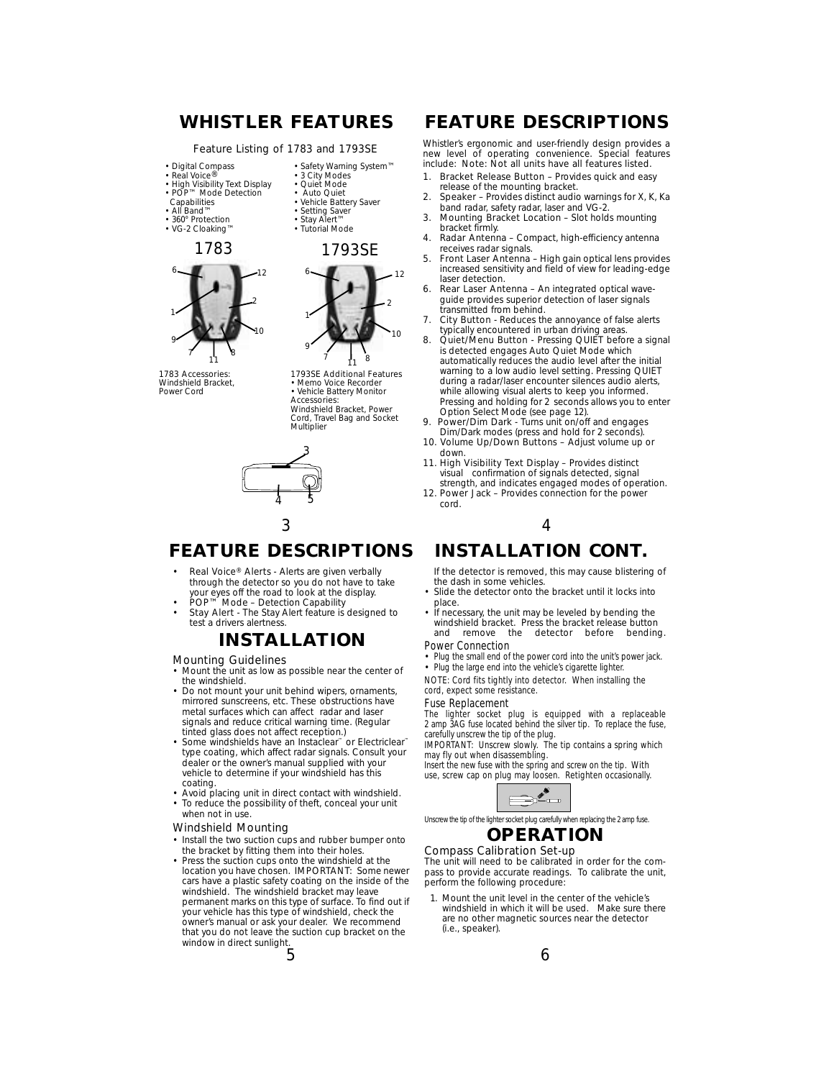### Feature Listing of 1783 and 1793SE

- Digital Compass
- Real Voice®<br>• High Visibility Text Display<br>• POP™ Mode Detection<br>← Capabilities
- 
- 
- All Band™
- 360° Protection • VG-2 Cloaking™
- 1 9 7 8 2 6 10 12 1783 1793SE
- 1783 Accessories: Windshield Bracket, Power Cord

• Vehicle Battery Saver • Setting Saver • Stay Alert™ • Tutorial Mode

• Safety Warning System™ • 3 City Modes • Quiet Mode • Auto Quiet



1793SE Additional Features • Memo Voice Recorder • Vehicle Battery Monitor Accessories: Windshield Bracket, Power Cord, Travel Bag and Socket **Multiplier** 



# **FEATURE DESCRIPTIONS**

- Real Voice® Alerts Alerts are given verbally through the detector so you do not have to take your eyes off the road to look at the display. • POP™ Mode – Detection Capability
- Stay Alert The Stay Alert feature is designed to test a drivers alertness.

# **INSTALLATION**

### Mounting Guidelines

- Mount the unit as low as possible near the center of the windshield.
- Do not mount your unit behind wipers, ornaments, mirrored sunscreens, etc. These obstructions have metal surfaces which can affect radar and laser signals and reduce critical warning time. (Regular tinted glass does not affect reception.)
- Some windshields have an Instaclear<sup>™</sup> or Electriclear<sup>™</sup> type coating, which affect radar signals. Consult your dealer or the owner's manual supplied with your vehicle to determine if your windshield has this coating.
- Avoid placing unit in direct contact with windshield. To reduce the possibility of theft, conceal your unit when not in use.

#### Windshield Mounting

- Install the two suction cups and rubber bumper onto the bracket by fitting them into their holes.
- Press the suction cups onto the windshield at the location you have chosen. **IMPORTANT:** Some newer cars have a plastic safety coating on the inside of the windshield. The windshield bracket may leave permanent marks on this type of surface. To find out if your vehicle has this type of windshield, check the owner's manual or ask your dealer. We recommend that you do not leave the suction cup bracket on the window in direct sunlight.

5

# **WHISTLER FEATURES FEATURE DESCRIPTIONS**

Whistler's ergonomic and user-friendly design provides a new level of operating convenience. Special features include: Note: Not all units have all features listed.

- 1. Bracket Release Button Provides quick and easy release of the mounting bracket.
- 2. Speaker Provides distinct audio warnings for X, K, Ka band radar, safety radar, laser and VG-2.
- 3. Mounting Bracket Location Slot holds mounting bracket firmly.
- 4. Radar Antenna Compact, high-efficiency antenna receives radar signals.
- 5. Front Laser Antenna High gain optical lens provides increased sensitivity and field of view for leading-edge laser detection.
- 6. Rear Laser Antenna An integrated optical waveguide provides superior detection of laser signals transmitted from behind.
- 7. City Button Reduces the annoyance of false alerts typically encountered in urban driving areas.
- 8. Quiet/Menu Button Pressing QUIET before a signal is detected engages Auto Quiet Mode which automatically reduces the audio level after the initial warning to a low audio level setting. Pressing QUIET during a radar/laser encounter silences audio alerts, while allowing visual alerts to keep you informed. Pressing and holding for 2 seconds allows you to enter
- Option Select Mode (see page 12). 9. Power/Dim Dark Turns unit on/off and engages Dim/Dark modes (press and hold for 2 seconds).
- 10. Volume Up/Down Buttons Adjust volume up or down.
- 11. High Visibility Text Display Provides distinct visual confirmation of signals detected, signal
- strength, and indicates engaged modes of operation. 12. Power Jack – Provides connection for the power cord.

# **INSTALLATION CONT.**

If the detector is removed, this may cause blistering of the dash in some vehicles.

- Slide the detector onto the bracket until it locks into place.
- If necessary, the unit may be leveled by bending the windshield bracket. Press the bracket release button<br>and remove the detector before bending the detector before

## Power Connection

• Plug the small end of the power cord into the unit's power jack. • Plug the large end into the vehicle's cigarette lighter

NOTE: Cord fits tightly into detector. When installing the cord, expect some resistance.

### Fuse Replacement

The lighter socket plug is equipped with a replaceable 2 amp 3AG fuse located behind the silver tip. To replace the fuse, carefully unscrew the tip of the plug.

IMPORTANT: Unscrew slowly. The tip contains a spring which may fly out when disassembling.

Insert the new fuse with the spring and screw on the tip. With use, screw cap on plug may loosen. Retighten occasionally.



Unscrew the tip of the lighter socket plug carefully when replacing the 2 amp fuse. **OPERATION** 

### Compass Calibration Set-up

The unit will need to be calibrated in order for the compass to provide accurate readings. To calibrate the unit, perform the following procedure:

1. Mount the unit level in the center of the vehicle's windshield in which it will be used. Make sure there are no other magnetic sources near the detector *(i.e., speaker)*.

- 
- 
- $3 \hspace{2.5cm} 4$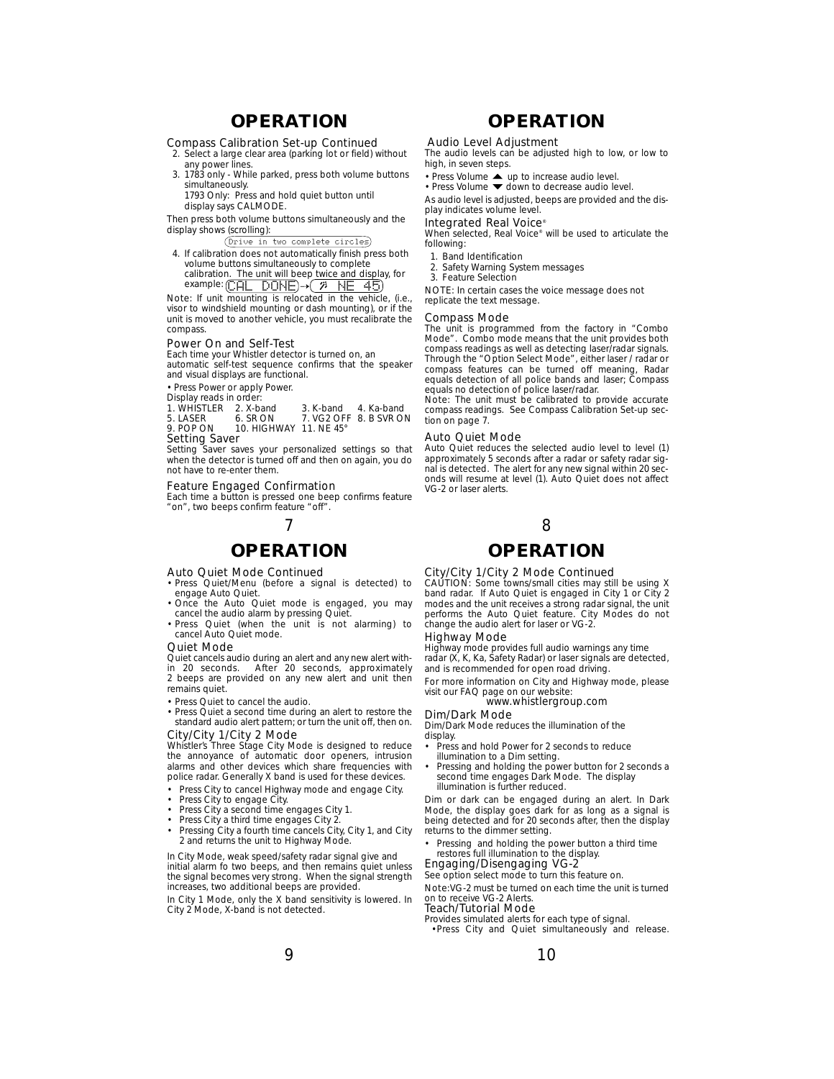# **OPERATION OPERATION**

### Compass Calibration Set-up Continued

2. Select a large clear area *(parking lot or field)* without any power lines. 3. 1783 only - While parked, press both volume buttons

- simultaneously. 1793 Only: Press and hold quiet button until
- display says CALMODE. Then press both volume buttons simultaneously and the

display shows (scrolling): Drive in two complete circles

- 4. If calibration does not automatically finish press both
- volume buttons simultaneously to complete calibration.\_The unit will beep twice and display, for<br>example: (CAL \_DONE)→( % \_NE \_45)
- Note: If unit mounting is relocated in the vehicle, (i.e., visor to windshield mounting or dash mounting), or if the

unit is moved to another vehicle, you must recalibrate the compass.

### Power On and Self-Test

Each time your Whistler detector is turned on, an automatic self-test sequence confirms that the speaker and visual displays are functional.

• Press Power or apply Power.

Display reads in order:

| .<br>1. WHISTLER 2. X-band |                               | 3. K-band 4. Ka-band |                        |  |
|----------------------------|-------------------------------|----------------------|------------------------|--|
| 5. LASER                   | 6. SR ON                      |                      | 7. VG2 OFF 8. B SVR ON |  |
| 9. POP ON                  | <b>10. HIGHWAY 11. NF 45°</b> |                      |                        |  |
| Cotting Count              |                               |                      |                        |  |

Setting Saver Setting Saver saves your personalized settings so that

when the detector is turned off and then on again, you do not have to re-enter them.

### Feature Engaged Confirmation

Each time a button is pressed one beep confirms feature "on", two beeps confirm feature "off".

## $7$  8

### Auto Quiet Mode Continued

- Press Quiet/Menu (before a signal is detected) to engage Auto Quiet.
- Once the Auto Quiet mode is engaged, you may cancel the audio alarm by pressing Quiet.
- Press Quiet (when the unit is not alarming) to cancel Auto Quiet mode.

#### Quiet Mode

Quiet cancels audio during an alert and any new alert within 20 seconds. After 20 seconds, approximately 2 beeps are provided on any new alert and unit then remains quiet.

• Press Quiet to cancel the audio.

• Press Quiet a second time during an alert to restore the standard audio alert pattern; or turn the unit off, then on.

City/City 1/City 2 Mode Whistler's Three Stage City Mode is designed to reduce the annoyance of automatic door openers, intrusion alarms and other devices which share frequencies with police radar. Generally X band is used for these devices.

- Press City to cancel Highway mode and engage City.
- 
- Press City to engage City. Press City a second time engages City 1.
- Press City a third time engages City 2.
- Pressing City a fourth time cancels City, City 1, and City 2 and returns the unit to Highway Mode.

In City Mode, weak speed/safety radar signal give and initial alarm fo two beeps, and then remains quiet unless the signal becomes very strong. When the signal strength increases, two additional beeps are provided.

In City 1 Mode, only the X band sensitivity is lowered. In City 2 Mode, X-band is not detected.

### Audio Level Adjustment

The audio levels can be adjusted high to low, or low to high, in seven steps.

- Press Volume  $\triangle$  up to increase audio level.
- Press Volume  $\blacktriangledown$  down to decrease audio level.

As audio level is adjusted, beeps are provided and the display indicates volume level.

### Integrated Real Voice®

When selected, Real Voice® will be used to articulate the following:

- 1. Band Identification
- 2. Safety Warning System messages 3. Feature Selection
- 

NOTE: In certain cases the voice message does not replicate the text message.

#### Compass Mode

The unit is programmed from the factory in "Combo Mode". Combo mode means that the unit provides both compass readings as well as detecting laser/radar signals. Through the "Option Select Mode", either laser / radar or compass features can be turned off meaning, Radar equals detection of all police bands and laser; Compass equals no detection of police laser/radar.

Note: The unit must be calibrated to provide accurate compass readings. See Compass Calibration Set-up section on page 7.

#### Auto Quiet Mode

Auto Quiet reduces the selected audio level to level (1) approximately 5 seconds after a radar or safety radar sig-nal is detected. The alert for any new signal within 20 seconds will resume at level (1). Auto Quiet does not affect VG-2 or laser alerts.

## **OPERATION OPERATION**

City/City 1/City 2 Mode Continued CAUTION: Some towns/small cities may still be using X band radar. If Auto Quiet is engaged in City 1 or City 2 modes and the unit receives a strong radar signal, the unit performs the Auto Quiet feature. City Modes do not change the audio alert for laser or VG-2.

### Highway Mode

Highway mode provides full audio warnings any time radar (X, K, Ka, Safety Radar) or laser signals are detected, and is recommended for open road driving.

For more information on City and Highway mode, please visit our FAQ page on our website:

www.whistlergroup.com

## Dim/Dark Mode

Dim/Dark Mode reduces the illumination of the display. • Press and hold Power for 2 seconds to reduce

- 
- illumination to a Dim setting. Pressing and holding the power button for 2 seconds a second time engages Dark Mode. The display illumination is further reduced.

Dim or dark can be engaged during an alert. In Dark Mode, the display goes dark for as long as a signal is being detected and for 20 seconds after, then the display returns to the dimmer setting.

Pressing and holding the power button a third time restores full illumination to the display.

### Engaging/Disengaging VG-2

See option select mode to turn this feature on. Note:VG-2 must be turned on each time the unit is turned on to receive VG-2 Alerts.

### Teach/Tutorial Mode

Provides simulated alerts for each type of signal.

•Press City and Quiet simultaneously and release.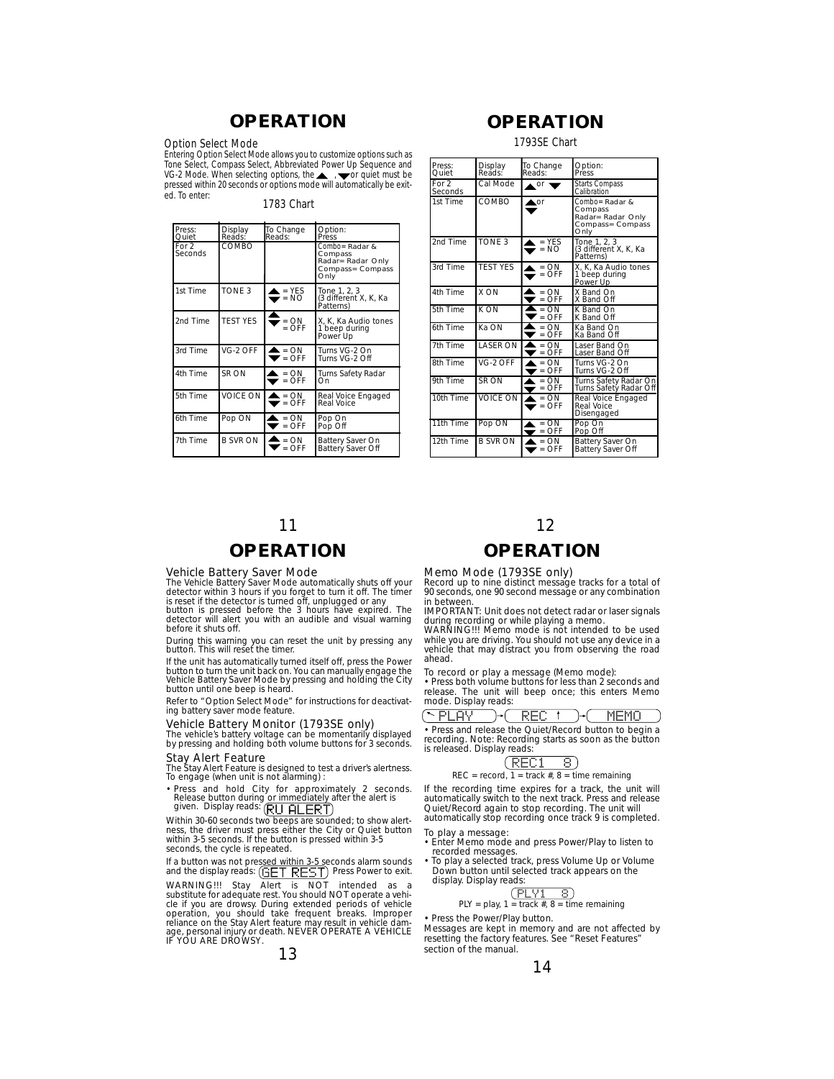# **OPERATION OPERATION**

### Option Select Mode

Entering Option Select Mode allows you to customize options such as Tone Select, Compass Select, Abbreviated Power Up Sequence and VG-2 Mode. When selecting options, the , wor quiet must be pressed within 20 seconds or options mode will automatically be exited. To enter:

### 1783 Chart

| Press:<br>Quiet    | Display<br>Reads: | To Change<br>Reads:                             | Option:<br>Press                                                           |
|--------------------|-------------------|-------------------------------------------------|----------------------------------------------------------------------------|
| For $2$<br>Seconds | COMBO             |                                                 | Combo= Radar &<br>Compass<br>Radar= Radar Only<br>Compass= Compass<br>Only |
| 1st Time           | TONE 3            | $=$ YES<br>$= NO$                               | Tone 1, 2, 3<br>(3 different X, K, Ka<br>Patterns)                         |
| 2nd Time           | <b>TEST YES</b>   | $= ON$<br>$=$ OFF                               | X. K. Ka Audio tones<br>1 beep during<br>Power Up                          |
| 3rd Time           | VG-2 OFF          | $\mathbf{r} = \mathbf{O} \mathbf{N}$<br>$=$ OFF | Turns VG-2 On<br>Turns VG-2 Off                                            |
| 4th Time           | SR ON             | $\mathbf{r} = \mathbf{O} \mathbf{N}$<br>$=$ OFF | Turns Safety Radar<br>Ön                                                   |
| 5th Time           | <b>VOICE ON</b>   | $\triangle$ = ON<br>$=$ OFF                     | Real Voice Engaged<br>Real Voice                                           |
| 6th Time           | Pop ON            | $= ON$<br>$=$ $\overline{O}$ FF                 | Pop On<br>Pop Off                                                          |
| 7th Time           | <b>B SVR ON</b>   | $= ON$<br>$=$ OFF                               | Battery Saver On<br>Battery Saver Off                                      |

### 1793SE Chart

| Press:<br>Ouiet  | Display<br>Reads: | To Change<br>Reads: | Option:<br>Press                                                           |
|------------------|-------------------|---------------------|----------------------------------------------------------------------------|
| For 2<br>Seconds | Cal Mode          | $\triangle$ or      | Starts Compass<br>Calibration                                              |
| 1st Time         | COMBO             | $\triangle$ or      | Combo= Radar &<br>Compass<br>Radar= Radar Only<br>Compass= Compass<br>Only |
| 2nd Time         | <b>TONE 3</b>     | $=$ YES<br>$= NO$   | Tone 1, 2, 3<br>(3 different X, K, Ka<br>Patterns)                         |
| 3rd Time         | <b>TEST YES</b>   | $= ON$<br>$=$ OFF   | X. K. Ka Audio tones<br>1 beep during<br>Power Up                          |
| 4th Time         | X ON              | $= ON$<br>$=$ OFF   | X Band On<br>X Band Off                                                    |
| 5th Time         | K ON              | $= ON$<br>$=$ OFF   | K Band On<br>K Band Off                                                    |
| 6th Time         | Ka ON             | $= ON$<br>$=$ OFF   | Ka Band On<br>Ka Band Off                                                  |
| 7th Time         | <b>LASER ON</b>   | $= ON$<br>$=$ OFF   | Laser Band On<br>Laser Band Off                                            |
| 8th Time         | VG-2 OFF          | $= ON$<br>$=$ OFF   | Turns VG-2 On<br>Turns VG-2 Off                                            |
| 9th Time         | SR ON             | $= ON$<br>$=$ OFF   | Turns Safety Radar On<br>Turns Safety Radar Off                            |
| 10th Time        | VOICE ON          | $= ON$<br>$=$ OFF   | Real Voice Engaged<br>Real Voice<br>Disengaged                             |
| 11th Time        | Pop ON            | $= ON$<br>$=$ OFF   | Pop On<br>Pop Off                                                          |
| 12th Time        | <b>B SVR ON</b>   | $= ON$<br>$=$ OFF   | Battery Saver On<br>Battery Saver Off                                      |

# **OPERATION**

**Vehicle Battery Saver Mode**<br>The Vehicle Battery Saver Mode automatically shuts off your<br>detector within 3 hours if you forget to turn it off. The timer<br>is reset if the detector is turned off, unplugged or any

button is pressed before the 3 hours have expired. The detector will alert you with an audible and visual warning before it shuts off.

During this warning you can reset the unit by pressing any button. This will reset the timer.

If the unit has automatically turned itself off, press the Power button to turn the unit back on. You can manually engage the Vehicle Battery Saver Mode by pressing and holding the City button until one beep is heard.

Refer to "Option Select Mode" for instructions for deactivating battery saver mode feature.

Vehicle Battery Monitor (1793SE only) The vehicle's battery voltage can be momentarily displayed by pressing and holding both volume buttons for 3 seconds.

# Stay Alert Feature

The Stay Alert Feature is designed to test a driver's alertness. To engage (when unit is not alarming) :

• Press and hold City for approximately 2 seconds.<br>Release button during or immediately after the alert is<br>given. Display reads: (EIT EIFET)

Within 30-60 seconds two beeps are sounded; to show alert-ness, the driver must press either the City or Quiet button within 3-5 seconds. If the button is pressed within 3-5 seconds, the cycle is repeated.

If a button was not pres<u>sed within 3-5 s</u>econds alarm sounds<br>and the display reads: (百三丁 尺三丁) Press Power to exit.

WARNING!!! Stay Alert is NOT intended as a<br>substitute for adequate rest. You should NOT operate a vehi-<br>cle if you are drowsy. During extended periods of vehicle<br>operation, you should take frequent breaks. Improper<br>relianc

### 13

## 11 12 **OPERATION**

### Memo Mode (1793SE only)

Record up to nine distinct message tracks for a total of 90 seconds, one 90 second message or any combination in between.

IMPORTANT: Unit does not detect radar or laser signals

during recording or while playing a memo. WARNING!!! Memo mode is not intended to be used while you are driving. You should not use any device in a vehicle that may distract you from observing the road ahead.

### To record or play a message (Memo mode):

• Press both volume buttons for less than 2 seconds and release. The unit will beep once; this enters Memo mode. Display reads:

PLAY REC MEMO

• Press and release the Quiet/Record button to begin a recording. Note: Recording starts as soon as the button is released. Display reads:

### $REC = record, 1 = track #, 8 = time remaining$ REC1 8

If the recording time expires for a track, the unit will automatically switch to the next track. Press and release Quiet/Record again to stop recording. The unit will automatically stop recording once track 9 is completed.

- To play a message: Enter Memo mode and press Power/Play to listen to recorded messages.
- To play a selected track, press Volume Up or Volume Down button until selected track appears on the display. Display reads:

$$
\underbrace{\text{(PLY1 8)}}_{\text{block 4 2 2 2}}
$$

PLY = play,  $1 = \text{track }#$ ,  $8 = \text{time remaining}$ 

Press the Power/Play button. Messages are kept in memory and are not affected by resetting the factory features. See "Reset Features"

section of the manual.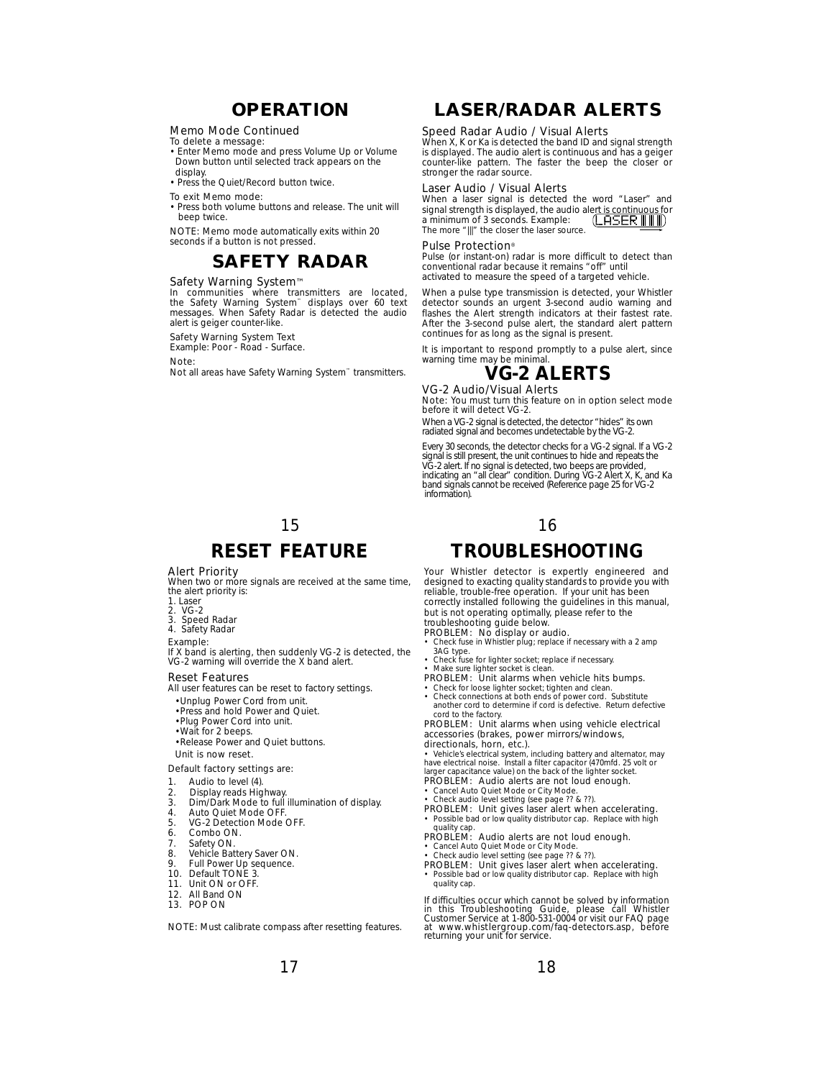# **OPERATION**

### Memo Mode Continued

To delete a message: • Enter Memo mode and press Volume Up or Volume Down button until selected track appears on the display.

• Press the Quiet/Record button twice.

To exit Memo mode:

• Press both volume buttons and release. The unit will beep twice.

NOTE: Memo mode automatically exits within 20 seconds if a button is not pressed.

## **SAFETY RADAR**

### Safety Warning System™

In communities where transmitters are located, the Safety Warning System™ displays over 60 text messages. When Safety Radar is detected the audio alert is geiger counter-like.

### Safety Warning System Text

Example: Poor - Road - Surface.

#### Note:

Not all areas have Safety Warning System™ transmitters.

# 15 **RESET FEATURE**

### Alert Priority

When two or more signals are received at the same time, the alert priority is:

- 1. Laser
- 
- 2. VG-2 3. Speed Radar 4. Safety Radar

#### Example:

If X band is alerting, then suddenly VG-2 is detected, the VG-2 warning will override the X band alert.

### Reset Features

All user features can be reset to factory settings.

- •Unplug Power Cord from unit.
- •Press and hold Power and Quiet.
- •Plug Power Cord into unit.
- •Wait for 2 beeps. •Release Power and Quiet buttons.
- Unit is now reset.

## Default factory settings are:

## 1. Audio to level (4).

- 
- 2. Display reads Highway. 3. Dim/Dark Mode to full illumination of display.
- 
- 4. Auto Quiet Mode OFF.<br>5. VG-2 Detection Mode VG-2 Detection Mode OFF.
- 6. Combo ON.<br>7. Safety ON.
- Safety ON.
- 8. Vehicle Battery Saver ON. 9. Full Power Up sequence.
- 
- 10. Default TONE 3.<br>11. Unit ON or OFF.
- Unit ON or OFF.
- 12. All Band ON
- 13. POP ON

NOTE: Must calibrate compass after resetting features.

# **LASER/RADAR ALERTS**

### Speed Radar Audio / Visual Alerts

When X, K or Ka is detected the band ID and signal strength is displayed. The audio alert is continuous and has a geiger counter-like pattern. The faster the beep the closer or stronger the radar source.

### Laser Audio / Visual Alerts

When a laser signal is detected the word "Laser" and signal strength is displayed, the audio alert is continuous for a minimum of 3 seconds. Example: The more "|||" the closer the laser source.

#### Pulse Protection®

Pulse (or instant-on) radar is more difficult to detect than conventional radar because it remains "off" until activated to measure the speed of a targeted vehicle.

When a pulse type transmission is detected, your Whistler detector sounds an urgent 3-second audio warning and flashes the Alert strength indicators at their fastest rate. After the 3-second pulse alert, the standard alert pattern continues for as long as the signal is present.

It is important to respond promptly to a pulse alert, since warning time may be minimal.



VG-2 Audio/Visual Alerts Note: You must turn this feature on in option select mode before it will detect VG-2.

When a VG-2 signal is detected, the detector "hides" its own radiated signal and becomes undetectable by the VG-2.

Every 30 seconds, the detector checks for a VG-2 signal. If a VG-2 signal is still present, the unit continues to hide and repeats the<br>VG-2 alert. If no signal is detected, two beeps are provided,<br>indicating an "all clear" condition. During VG-2 Alert X, K, and Ka<br>band signals cannot be r information).

### 16

# **TROUBLESHOOTING**

Your Whistler detector is expertly engineered and designed to exacting quality standards to provide you with reliable, trouble-free operation. If your unit has been correctly installed following the guidelines in this manual, but is not operating optimally, please refer to the troubleshooting guide below.

- PROBLEM: No display or audio.<br>• Check fuse in Whistler plug; replace if necessary with a 2 amp 3AG type.
- Check fuse for lighter socket; replace if necessary. Make sure lighter socket is clean.
- 
- 
- **PROBLEM: Unit alarms when vehicle hits bumps.**<br>• Check for loose lighter socket; tighten and clean.<br>• Check connections at both ends of power cord. Substitute<br>another cord to determine if cord is defective. Return defecti

cord to the factory. PROBLEM: Unit alarms when using vehicle electrical accessories *(brakes, power mirrors/windows, directionals, horn, etc.).*

• Vehicle's electrical system, including battery and alternator, may<br>have electrical noise. Install a filter capacitor (470*mfd. 25 volt or<br>larger capacitance value)* on the back of the lighter socket.<br>**PROBLEM: Audio aler** 

- Cancel Auto Quiet Mode or City Mode. Check audio level setting *(see page ?? & ??).*
- 
- PROBLEM: Unit gives laser alert when accelerating. • Possible bad or low quality distributor cap. Replace with hig quality cap.
- PROBLEM: Audio alerts are not loud enough. Cancel Auto Quiet Mode or City Mode.
- Check audio level setting *(see page ?? & ??).*
- **PROBLEM: Unit gives laser alert when accelerating.**<br>• Possible bad or low quality distributor cap. Replace with high quality cap.

If difficulties occur which cannot be solved by information in this Troubleshooting Guide, please call Whistler Customer Service at 1-800-531-0004 or visit our FAQ page at www.whistlergroup.com/faq-detectors.asp, before returning your unit for service.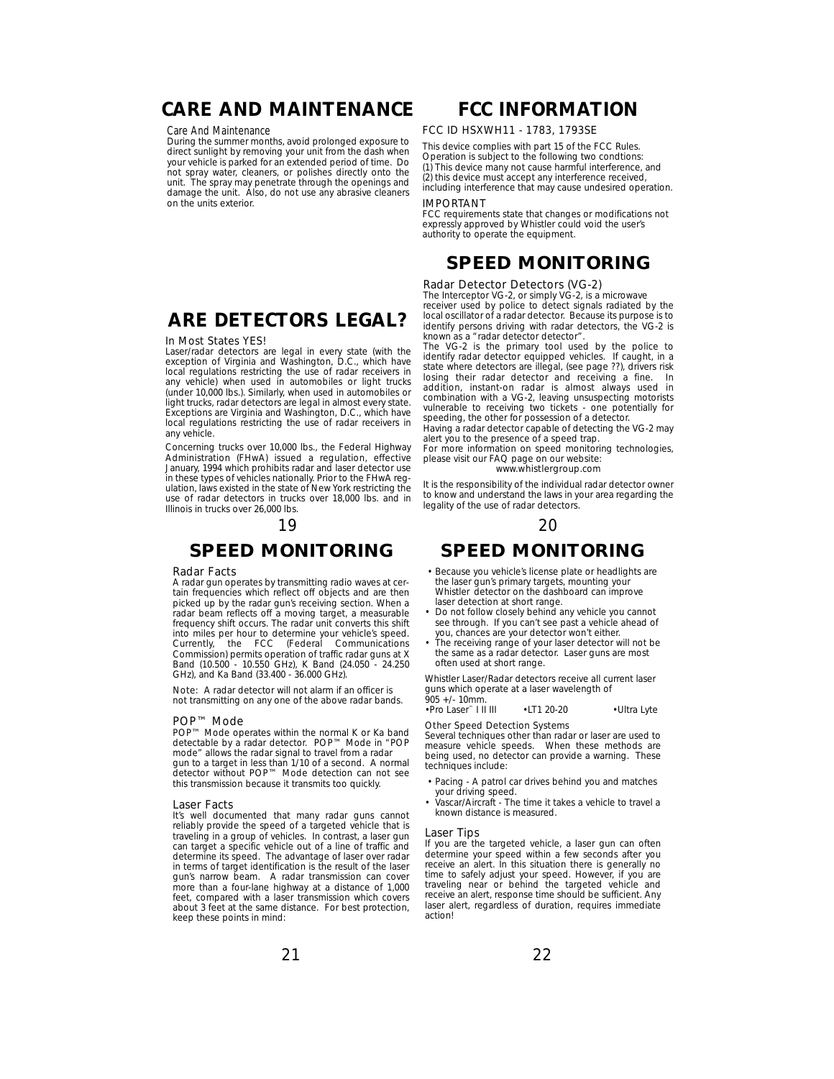# **CARE AND MAINTENANCE**

### Care And Maintenance

During the summer months, avoid prolonged exposure to direct sunlight by removing your unit from the dash when your vehicle is parked for an extended period of time. Do not spray water, cleaners, or polishes directly onto the unit. The spray may penetrate through the openings and damage the unit. Also, do not use any abrasive cleaners on the units exterior.

# **ARE DETECTORS LEGAL?**

#### In Most States YES!

Laser/radar detectors are legal in every state (with the exception of Virginia and Washington, D.C., which have local regulations restricting the use of radar receivers in any vehicle) when used in automobiles or light trucks (under 10,000 lbs.). Similarly, when used in automobiles or light trucks, radar detectors are legal in almost every state. Exceptions are Virginia and Washington, D.C., which have local regulations restricting the use of radar receivers in any vehicle.

Concerning trucks over 10,000 lbs., the Federal Highway Administration (FHwA) issued a regulation, effective January, 1994 which prohibits radar and laser detector use in these types of vehicles nationally. Prior to the FHwA regulation, laws existed in the state of New York restricting the use of radar detectors in trucks over 18,000 lbs. and in Illinois in trucks over 26,000 lbs.

## 19 20

## **SPEED MONITORING**

#### Radar Facts

A radar gun operates by transmitting radio waves at certain frequencies which reflect off objects and are then picked up by the radar gun's receiving section. When a radar beam reflects off a moving target, a measurable frequency shift occurs. The radar unit converts this shift into miles per hour to determine your vehicle's speed. Currently, the FCC (Federal Communications Commission) permits operation of traffic radar guns at X Band (10.500 - 10.550 GHz), K Band (24.050 - 24.250 GHz), and Ka Band (33.400 - 36.000 GHz).

Note: A radar detector will not alarm if an officer is not transmitting on any one of the above radar bands.

### POP™ Mode

POP™ Mode operates within the normal K or Ka band<br>detectable by a radar detector. POP™ Mode in "POP<br>mode" allows the radar signal to travel from a radar gun to a target in less than 1/10 of a second. A normal detector without POP™ Mode detection can not see this transmission because it transmits too quickly.

#### Laser Facts

It's well documented that many radar guns cannot reliably provide the speed of a targeted vehicle that is traveling in a group of vehicles. In contrast, a laser gun can target a specific vehicle out of a line of traffic and determine its speed. The advantage of laser over radar in terms of target identification is the result of the laser gun's narrow beam. A radar transmission can cover more than a four-lane highway at a distance of 1,000 feet, compared with a laser transmission which covers about 3 feet at the same distance. For best protection, keep these points in mind:

## **FCC INFORMATION**

### FCC ID HSXWH11 - 1783, 1793SE

This device complies with part 15 of the FCC Rules. Operation is subject to the following two condtions: (1) This device many not cause harmful interference, and (2) this device must accept any interference received, including interference that may cause undesired operation.

### IMPORTANT

FCC requirements state that changes or modifications not expressly approved by Whistler could void the user's authority to operate the equipment.

# **SPEED MONITORING**

### Radar Detector Detectors (VG-2)

The Interceptor VG-2, or simply VG-2, is a microwave receiver used by police to detect signals radiated by the local oscillator of a radar detector. Because its purpose is to identify persons driving with radar detectors, the VG-2 is known as a "radar detector detector".

The VG-2 is the primary tool used by the police to identify radar detector equipped vehicles. If caught, in a state where detectors are illegal, (see page ??), drivers risk losing their radar detector and receiving a fine. addition, instant-on radar is almost always used in combination with a VG-2, leaving unsuspecting motorists vulnerable to receiving two tickets - one potentially for speeding, the other for possession of a detector.

Having a radar detector capable of detecting the VG-2 may alert you to the presence of a speed trap.

For more information on speed monitoring technologies, please visit our FAQ page on our website:

www.whistlergroup.com

It is the responsibility of the individual radar detector owner to know and understand the laws in your area regarding the legality of the use of radar detectors.

# **SPEED MONITORING**

- Because you vehicle's license plate or headlights are the laser gun's primary targets, mounting your Whistler detector on the dashboard can improve laser detection at short range.
- Do not follow closely behind any vehicle you cannot see through. If you can't see past a vehicle ahead of you, chances are your detector won't either.
- The receiving range of your laser detector will not be the same as a radar detector. Laser guns are most often used at short range.

Whistler Laser/Radar detectors receive all current laser guns which operate at a laser wavelength of 905 +/- 10mm.

### •Pro Laser™ I II III •LT1 20-20 •Ultra Lyte

### Other Speed Detection Systems

Several techniques other than radar or laser are used to measure vehicle speeds. When these methods are being used, no detector can provide a warning. These techniques include:

- Pacing A patrol car drives behind you and matches your driving speed. Vascar/Aircraft The time it takes a vehicle to travel a
- known distance is measured.

#### Laser Tips

If you are the targeted vehicle, a laser gun can often determine your speed within a few seconds after you receive an alert. In this situation there is generally no time to safely adjust your speed. However, if you are traveling near or behind the targeted vehicle and receive an alert, response time should be sufficient. Any laser alert, regardless of duration, requires immediate action!